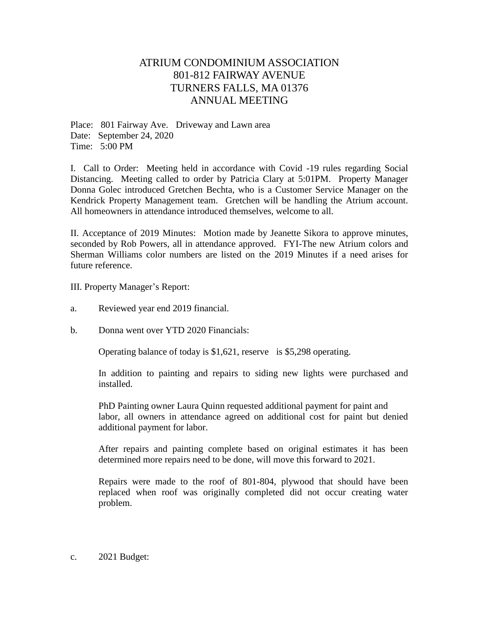## ATRIUM CONDOMINIUM ASSOCIATION 801-812 FAIRWAY AVENUE TURNERS FALLS, MA 01376 ANNUAL MEETING

Place: 801 Fairway Ave. Driveway and Lawn area Date: September 24, 2020 Time: 5:00 PM

I. Call to Order: Meeting held in accordance with Covid -19 rules regarding Social Distancing. Meeting called to order by Patricia Clary at 5:01PM. Property Manager Donna Golec introduced Gretchen Bechta, who is a Customer Service Manager on the Kendrick Property Management team. Gretchen will be handling the Atrium account. All homeowners in attendance introduced themselves, welcome to all.

II. Acceptance of 2019 Minutes: Motion made by Jeanette Sikora to approve minutes, seconded by Rob Powers, all in attendance approved. FYI-The new Atrium colors and Sherman Williams color numbers are listed on the 2019 Minutes if a need arises for future reference.

III. Property Manager's Report:

- a. Reviewed year end 2019 financial.
- b. Donna went over YTD 2020 Financials:

Operating balance of today is \$1,621, reserve is \$5,298 operating.

In addition to painting and repairs to siding new lights were purchased and installed.

PhD Painting owner Laura Quinn requested additional payment for paint and labor, all owners in attendance agreed on additional cost for paint but denied additional payment for labor.

After repairs and painting complete based on original estimates it has been determined more repairs need to be done, will move this forward to 2021.

Repairs were made to the roof of 801-804, plywood that should have been replaced when roof was originally completed did not occur creating water problem.

c. 2021 Budget: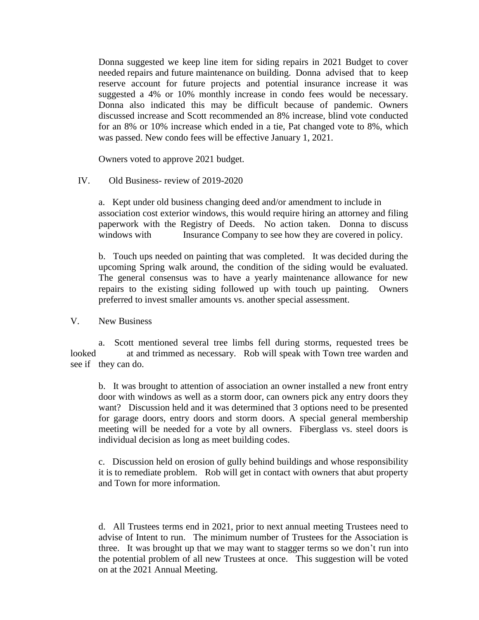Donna suggested we keep line item for siding repairs in 2021 Budget to cover needed repairs and future maintenance on building. Donna advised that to keep reserve account for future projects and potential insurance increase it was suggested a 4% or 10% monthly increase in condo fees would be necessary. Donna also indicated this may be difficult because of pandemic. Owners discussed increase and Scott recommended an 8% increase, blind vote conducted for an 8% or 10% increase which ended in a tie, Pat changed vote to 8%, which was passed. New condo fees will be effective January 1, 2021.

Owners voted to approve 2021 budget.

## IV. Old Business- review of 2019-2020

a. Kept under old business changing deed and/or amendment to include in association cost exterior windows, this would require hiring an attorney and filing paperwork with the Registry of Deeds. No action taken. Donna to discuss windows with Insurance Company to see how they are covered in policy.

b. Touch ups needed on painting that was completed. It was decided during the upcoming Spring walk around, the condition of the siding would be evaluated. The general consensus was to have a yearly maintenance allowance for new repairs to the existing siding followed up with touch up painting. Owners preferred to invest smaller amounts vs. another special assessment.

## V. New Business

a. Scott mentioned several tree limbs fell during storms, requested trees be looked at and trimmed as necessary. Rob will speak with Town tree warden and see if they can do.

b. It was brought to attention of association an owner installed a new front entry door with windows as well as a storm door, can owners pick any entry doors they want? Discussion held and it was determined that 3 options need to be presented for garage doors, entry doors and storm doors. A special general membership meeting will be needed for a vote by all owners. Fiberglass vs. steel doors is individual decision as long as meet building codes.

c. Discussion held on erosion of gully behind buildings and whose responsibility it is to remediate problem. Rob will get in contact with owners that abut property and Town for more information.

d. All Trustees terms end in 2021, prior to next annual meeting Trustees need to advise of Intent to run. The minimum number of Trustees for the Association is three. It was brought up that we may want to stagger terms so we don't run into the potential problem of all new Trustees at once. This suggestion will be voted on at the 2021 Annual Meeting.